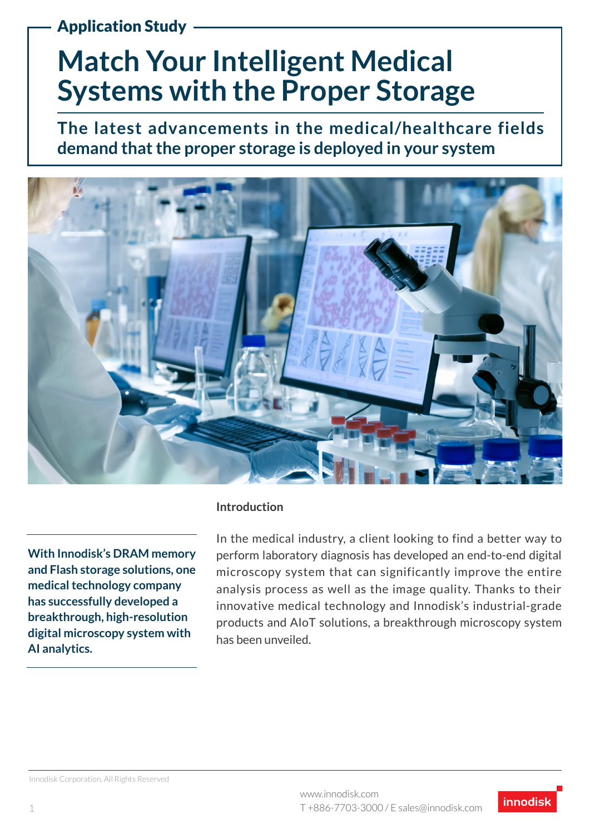Application Study

# **Match Your Intelligent Medical Systems with the Proper Storage**

**The latest advancements in the medical/healthcare fields demand that the proper storage is deployed in your system**



**With Innodisk's DRAM memory and Flash storage solutions, one medical technology company has successfully developed a breakthrough, high-resolution digital microscopy system with AI analytics.**

#### **Introduction**

In the medical industry, a client looking to find a better way to perform laboratory diagnosis has developed an end-to-end digital microscopy system that can significantly improve the entire analysis process as well as the image quality. Thanks to their innovative medical technology and Innodisk's industrial-grade products and AIoT solutions, a breakthrough microscopy system has been unveiled.